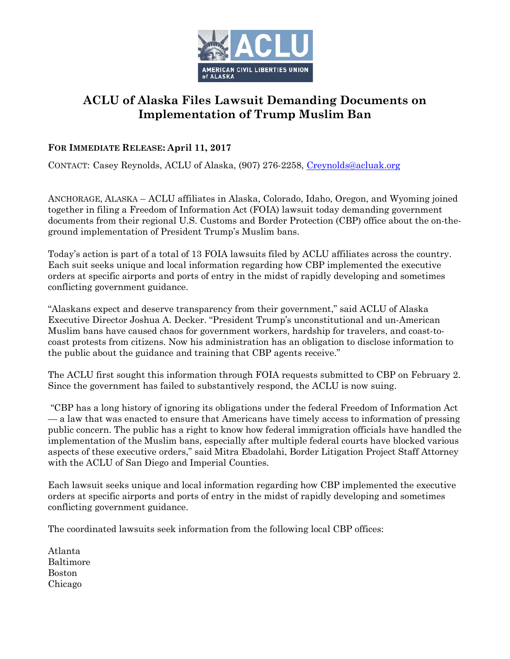

## **ACLU of Alaska Files Lawsuit Demanding Documents on Implementation of Trump Muslim Ban**

## **FOR IMMEDIATE RELEASE: April 11, 2017**

CONTACT: Casey Reynolds, ACLU of Alaska, (907) 276-2258, [Creynolds@acluak.org](mailto:Creynolds@acluak.org)

ANCHORAGE, ALASKA – ACLU affiliates in Alaska, Colorado, Idaho, Oregon, and Wyoming joined together in filing a Freedom of Information Act (FOIA) lawsuit today demanding government documents from their regional U.S. Customs and Border Protection (CBP) office about the on-theground implementation of President Trump's Muslim bans.

Today's action is part of a total of 13 FOIA lawsuits filed by ACLU affiliates across the country. Each suit seeks unique and local information regarding how CBP implemented the executive orders at specific airports and ports of entry in the midst of rapidly developing and sometimes conflicting government guidance.

"Alaskans expect and deserve transparency from their government," said ACLU of Alaska Executive Director Joshua A. Decker. "President Trump's unconstitutional and un-American Muslim bans have caused chaos for government workers, hardship for travelers, and coast-tocoast protests from citizens. Now his administration has an obligation to disclose information to the public about the guidance and training that CBP agents receive."

The ACLU first sought this information through FOIA requests submitted to CBP on February 2. Since the government has failed to substantively respond, the ACLU is now suing.

"CBP has a long history of ignoring its obligations under the federal Freedom of Information Act — a law that was enacted to ensure that Americans have timely access to information of pressing public concern. The public has a right to know how federal immigration officials have handled the implementation of the Muslim bans, especially after multiple federal courts have blocked various aspects of these executive orders," said Mitra Ebadolahi, Border Litigation Project Staff Attorney with the ACLU of San Diego and Imperial Counties.

Each lawsuit seeks unique and local information regarding how CBP implemented the executive orders at specific airports and ports of entry in the midst of rapidly developing and sometimes conflicting government guidance.

The coordinated lawsuits seek information from the following local CBP offices:

Atlanta Baltimore Boston Chicago